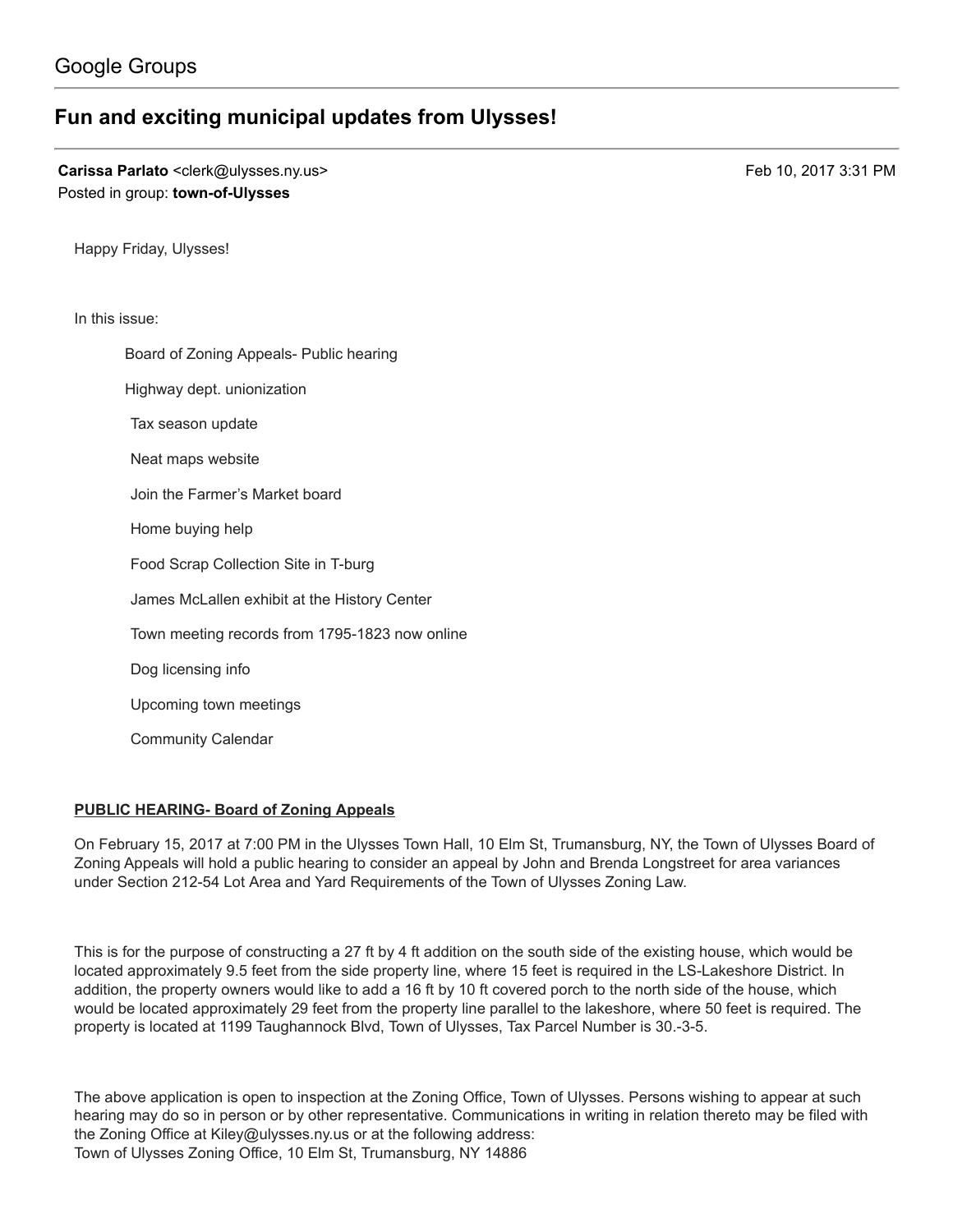# Fun and exciting [municipal](https://groups.google.com/d/topic/town-of-ulysses/WtexiquykjU) updates from Ulysses!

Carissa Parlato <clerk@ulysses.ny.us> Feb 10, 2017 3:31 PM Posted in group: [town-of-Ulysses](https://groups.google.com/d/forum/town-of-ulysses)

Happy Friday, Ulysses!

## In this issue:

Board of Zoning Appeals- Public hearing

Highway dept. unionization

Tax season update

Neat maps website

Join the Farmer's Market board

Home buying help

Food Scrap Collection Site in T-burg

James McLallen exhibit at the History Center

Town meeting records from 1795-1823 now online

Dog licensing info

Upcoming town meetings

Community Calendar

## PUBLIC HEARING- Board of Zoning Appeals

On February 15, 2017 at 7:00 PM in the Ulysses Town Hall, 10 Elm St, Trumansburg, NY, the Town of Ulysses Board of Zoning Appeals will hold a public hearing to consider an appeal by John and Brenda Longstreet for area variances under Section 212-54 Lot Area and Yard Requirements of the Town of Ulysses Zoning Law.

This is for the purpose of constructing a 27 ft by 4 ft addition on the south side of the existing house, which would be located approximately 9.5 feet from the side property line, where 15 feet is required in the LS-Lakeshore District. In addition, the property owners would like to add a 16 ft by 10 ft covered porch to the north side of the house, which would be located approximately 29 feet from the property line parallel to the lakeshore, where 50 feet is required. The property is located at 1199 Taughannock Blvd, Town of Ulysses, Tax Parcel Number is 30.-3-5.

The above application is open to inspection at the Zoning Office, Town of Ulysses. Persons wishing to appear at such hearing may do so in person or by other representative. Communications in writing in relation thereto may be filed with the Zoning Office at [Kiley@ulysses.ny.us](mailto:Kiley@ulysses.ny.us) or at the following address: Town of Ulysses Zoning Office, 10 Elm St, Trumansburg, NY 14886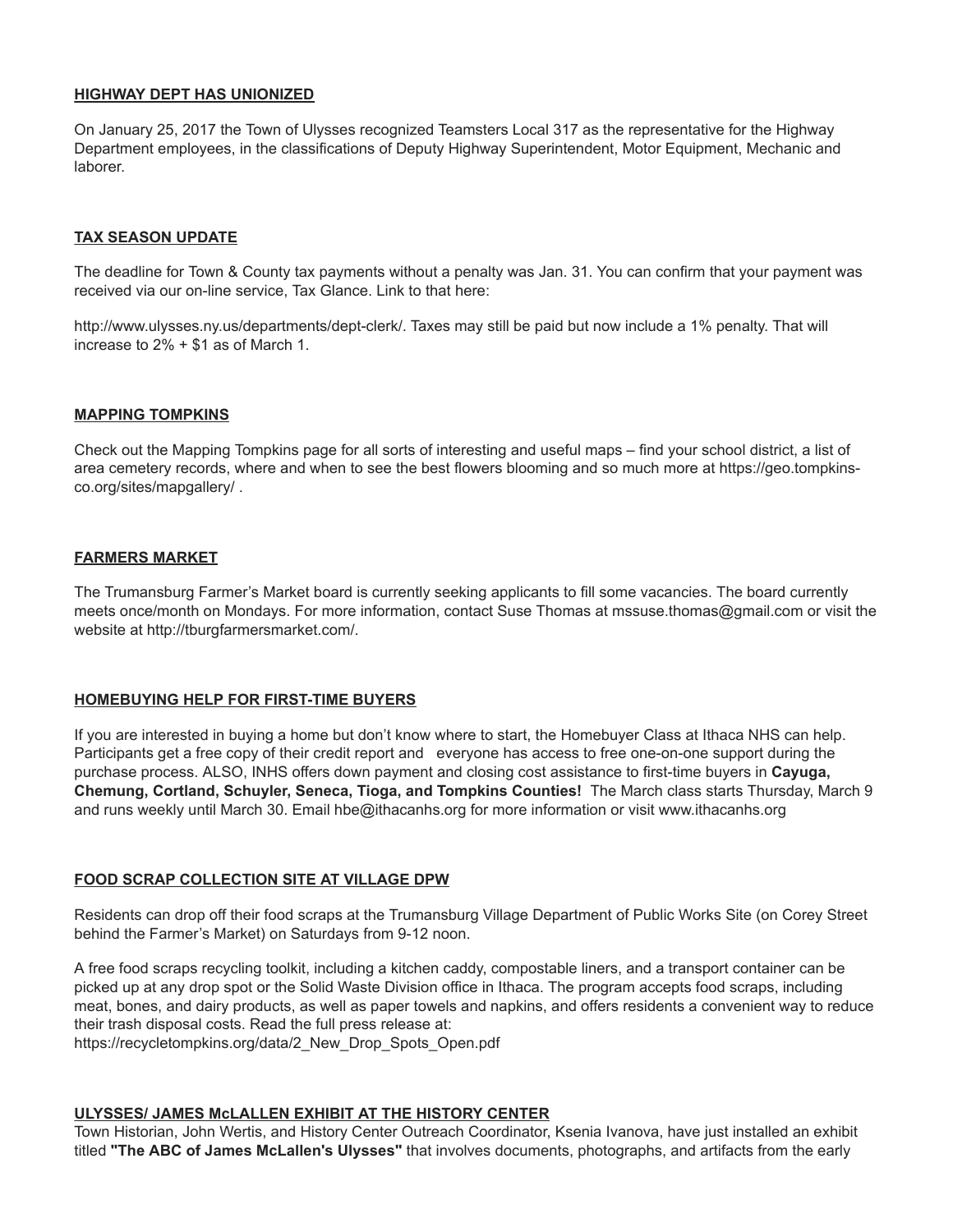## HIGHWAY DEPT HAS UNIONIZED

On January 25, 2017 the Town of Ulysses recognized Teamsters Local 317 as the representative for the Highway Department employees, in the classifications of Deputy Highway Superintendent, Motor Equipment, Mechanic and laborer.

## TAX SEASON UPDATE

The deadline for Town & County tax payments without a penalty was Jan. 31. You can confirm that your payment was received via our on-line service, Tax Glance. Link to that here:

[http://www.ulysses.ny.us/departments/dept-clerk/.](http://www.ulysses.ny.us/departments/dept-clerk/) Taxes may still be paid but now include a 1% penalty. That will increase to 2% + \$1 as of March 1.

## MAPPING TOMPKINS

Check out the Mapping Tompkins page for all sorts of interesting and useful maps – find your school district, a list of area cemetery records, where and when to see the best flowers blooming and so much more at https://geo.tompkins[co.org/sites/mapgallery/](https://geo.tompkins-co.org/sites/mapgallery/) .

## FARMERS MARKET

The Trumansburg Farmer's Market board is currently seeking applicants to fill some vacancies. The board currently meets once/month on Mondays. For more information, contact Suse Thomas at [mssuse.thomas@gmail.com](mailto:mssuse.thomas@gmail.com) or visit the website at [http://tburgfarmersmarket.com/.](http://tburgfarmersmarket.com/)

## HOMEBUYING HELP FOR FIRST-TIME BUYERS

If you are interested in buying a home but don't know where to start, the Homebuyer Class at Ithaca NHS can help. Participants get a free copy of their credit report and everyone has access to free one-on-one support during the purchase process. ALSO, INHS offers down payment and closing cost assistance to first-time buyers in Cayuga, Chemung, Cortland, Schuyler, Seneca, Tioga, and Tompkins Counties! The March class starts Thursday, March 9 and runs weekly until March 30. Email [hbe@ithacanhs.org](mailto:hbe@ithacanhs.org) for more information or visit [www.ithacanhs.org](http://www.ithacanhs.org/)

# FOOD SCRAP COLLECTION SITE AT VILLAGE DPW

Residents can drop off their food scraps at the Trumansburg Village Department of Public Works Site (on Corey Street behind the Farmer's Market) on Saturdays from 9-12 noon.

A free food scraps recycling toolkit, including a kitchen caddy, compostable liners, and a transport container can be picked up at any drop spot or the Solid Waste Division office in Ithaca. The program accepts food scraps, including meat, bones, and dairy products, as well as paper towels and napkins, and offers residents a convenient way to reduce their trash disposal costs. Read the full press release at: [https://recycletompkins.org/data/2\\_New\\_Drop\\_Spots\\_Open.pdf](https://recycletompkins.org/data/2_New_Drop_Spots_Open.pdf)

## ULYSSES/ JAMES McLALLEN EXHIBIT AT THE HISTORY CENTER

Town Historian, John Wertis, and History Center Outreach Coordinator, Ksenia Ivanova, have just installed an exhibit titled "The ABC of James McLallen's Ulysses" that involves documents, photographs, and artifacts from the early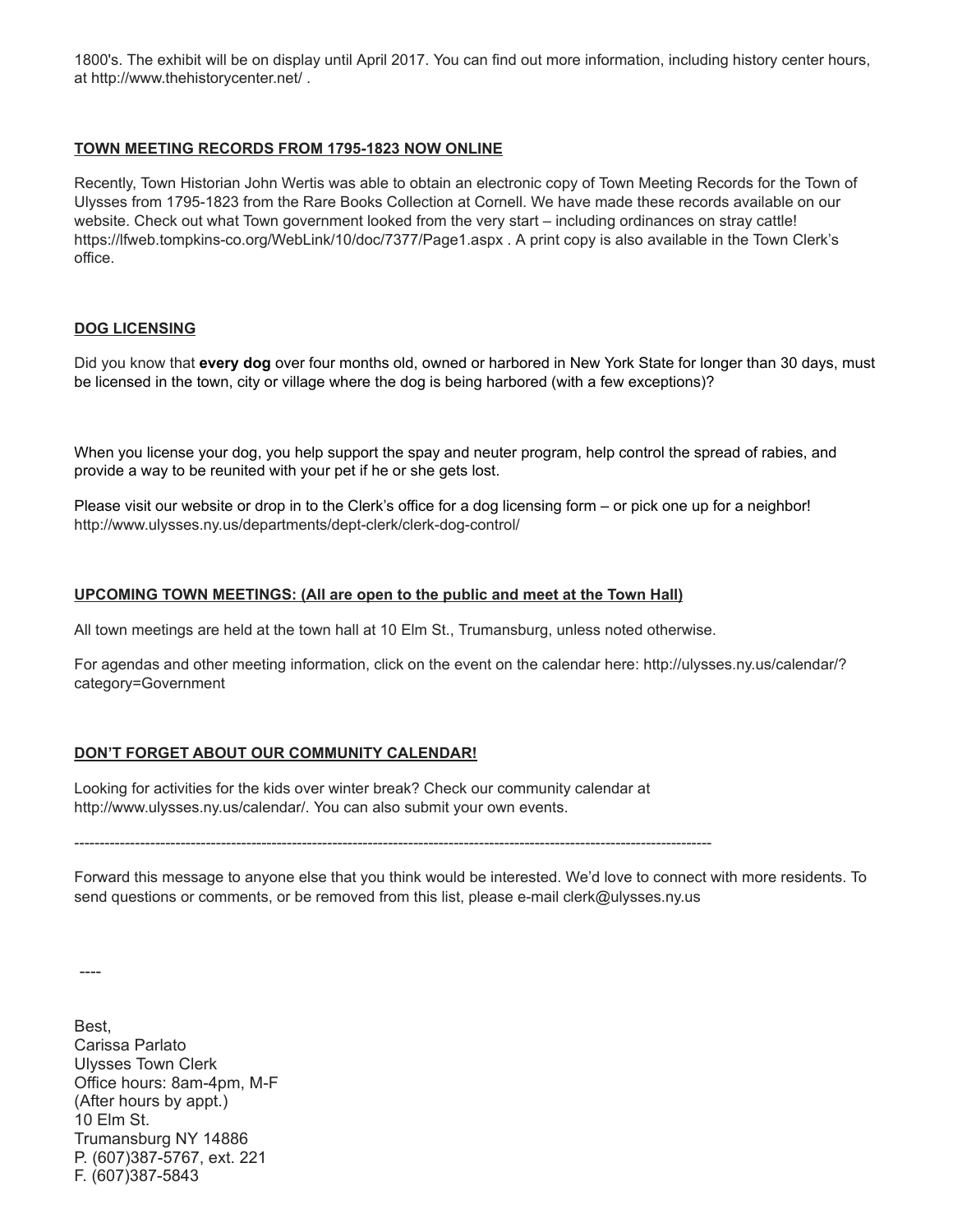1800's. The exhibit will be on display until April 2017. You can find out more information, including history center hours, at <http://www.thehistorycenter.net/> .

## TOWN MEETING RECORDS FROM 1795-1823 NOW ONLINE

Recently, Town Historian John Wertis was able to obtain an electronic copy of Town Meeting Records for the Town of Ulysses from 1795-1823 from the Rare Books Collection at Cornell. We have made these records available on our website. Check out what Town government looked from the very start – including ordinances on stray cattle! <https://lfweb.tompkins-co.org/WebLink/10/doc/7377/Page1.aspx> . A print copy is also available in the Town Clerk's office.

## DOG LICENSING

Did you know that every dog over four months old, owned or harbored in New York State for longer than 30 days, must be licensed in the town, city or village where the dog is being harbored (with a few exceptions)?

When you license your dog, you help support the spay and neuter program, help control the spread of rabies, and provide a way to be reunited with your pet if he or she gets lost.

Please visit our website or drop in to the Clerk's office for a dog licensing form – or pick one up for a neighbor! <http://www.ulysses.ny.us/departments/dept-clerk/clerk-dog-control/>

## UPCOMING TOWN MEETINGS: (All are open to the public and meet at the Town Hall)

All town meetings are held at the town hall at 10 Elm St., Trumansburg, unless noted otherwise.

For agendas and other meeting information, click on the event on the calendar here: [http://ulysses.ny.us/calendar/?](http://ulysses.ny.us/calendar/?category=Government) category=Government

# DON'T FORGET ABOUT OUR COMMUNITY CALENDAR!

Looking for activities for the kids over winter break? Check our community calendar at <http://www.ulysses.ny.us/calendar/>. You can also submit your own events.

------------------------------------------------------------------------------------------------------------------------------

Forward this message to anyone else that you think would be interested. We'd love to connect with more residents. To send questions or comments, or be removed from this list, please e-mail [clerk@ulysses.ny.us](mailto:clerk@ulysses.ny.us)

----

Best, Carissa Parlato Ulysses Town Clerk Office hours: 8am-4pm, M-F (After hours by appt.) 10 Elm St. Trumansburg NY 14886 P. (607)387-5767, ext. 221 F. (607)387-5843